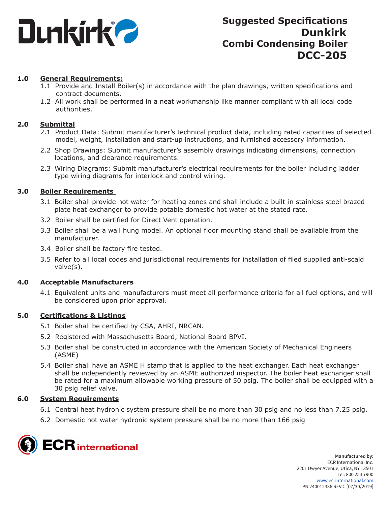

# **1.0 General Requirements:**

- 1.1 Provide and Install Boiler(s) in accordance with the plan drawings, written specifications and contract documents.
- 1.2 All work shall be performed in a neat workmanship like manner compliant with all local code authorities.

## **2.0 Submittal**

- 2.1 Product Data: Submit manufacturer's technical product data, including rated capacities of selected model, weight, installation and start-up instructions, and furnished accessory information.
- 2.2 Shop Drawings: Submit manufacturer's assembly drawings indicating dimensions, connection locations, and clearance requirements.
- 2.3 Wiring Diagrams: Submit manufacturer's electrical requirements for the boiler including ladder type wiring diagrams for interlock and control wiring.

## **3.0 Boiler Requirements**

- 3.1 Boiler shall provide hot water for heating zones and shall include a built-in stainless steel brazed plate heat exchanger to provide potable domestic hot water at the stated rate.
- 3.2 Boiler shall be certified for Direct Vent operation.
- 3.3 Boiler shall be a wall hung model. An optional floor mounting stand shall be available from the manufacturer.
- 3.4 Boiler shall be factory fire tested.
- 3.5 Refer to all local codes and jurisdictional requirements for installation of filed supplied anti-scald valve(s).

### **4.0 Acceptable Manufacturers**

4.1 Equivalent units and manufacturers must meet all performance criteria for all fuel options, and will be considered upon prior approval.

### **5.0 Certifications & Listings**

- 5.1 Boiler shall be certified by CSA, AHRI, NRCAN.
- 5.2 Registered with Massachusetts Board, National Board BPVI.
- 5.3 Boiler shall be constructed in accordance with the American Society of Mechanical Engineers (ASME)
- 5.4 Boiler shall have an ASME H stamp that is applied to the heat exchanger. Each heat exchanger shall be independently reviewed by an ASME authorized inspector. The boiler heat exchanger shall be rated for a maximum allowable working pressure of 50 psig. The boiler shall be equipped with a 30 psig relief valve.

### **6.0 System Requirements**

- 6.1 Central heat hydronic system pressure shall be no more than 30 psig and no less than 7.25 psig.
- 6.2 Domestic hot water hydronic system pressure shall be no more than 166 psig

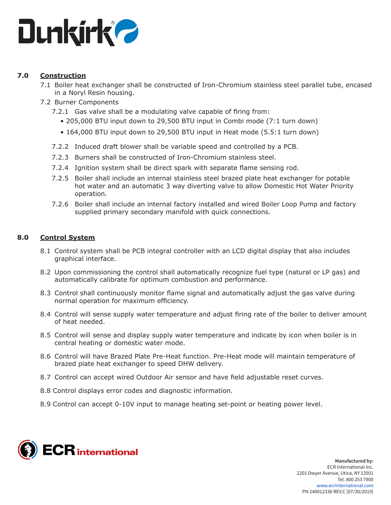

# **7.0 Construction**

- 7.1 Boiler heat exchanger shall be constructed of Iron-Chromium stainless steel parallel tube, encased in a Noryl Resin housing.
- 7.2 Burner Components
	- 7.2.1 Gas valve shall be a modulating valve capable of firing from:
		- 205,000 BTU input down to 29,500 BTU input in Combi mode (7:1 turn down)
		- 164,000 BTU input down to 29,500 BTU input in Heat mode (5.5:1 turn down)
	- 7.2.2 Induced draft blower shall be variable speed and controlled by a PCB.
	- 7.2.3 Burners shall be constructed of Iron-Chromium stainless steel.
	- 7.2.4 Ignition system shall be direct spark with separate flame sensing rod.
	- 7.2.5 Boiler shall include an internal stainless steel brazed plate heat exchanger for potable hot water and an automatic 3 way diverting valve to allow Domestic Hot Water Priority operation.
	- 7.2.6 Boiler shall include an internal factory installed and wired Boiler Loop Pump and factory supplied primary secondary manifold with quick connections.

# **8.0 Control System**

- 8.1 Control system shall be PCB integral controller with an LCD digital display that also includes graphical interface.
- 8.2 Upon commissioning the control shall automatically recognize fuel type (natural or LP gas) and automatically calibrate for optimum combustion and performance.
- 8.3 Control shall continuously monitor flame signal and automatically adjust the gas valve during normal operation for maximum efficiency.
- 8.4 Control will sense supply water temperature and adjust firing rate of the boiler to deliver amount of heat needed.
- 8.5 Control will sense and display supply water temperature and indicate by icon when boiler is in central heating or domestic water mode.
- 8.6 Control will have Brazed Plate Pre-Heat function. Pre-Heat mode will maintain temperature of brazed plate heat exchanger to speed DHW delivery.
- 8.7 Control can accept wired Outdoor Air sensor and have field adjustable reset curves.
- 8.8 Control displays error codes and diagnostic information.
- 8.9 Control can accept 0-10V input to manage heating set-point or heating power level.